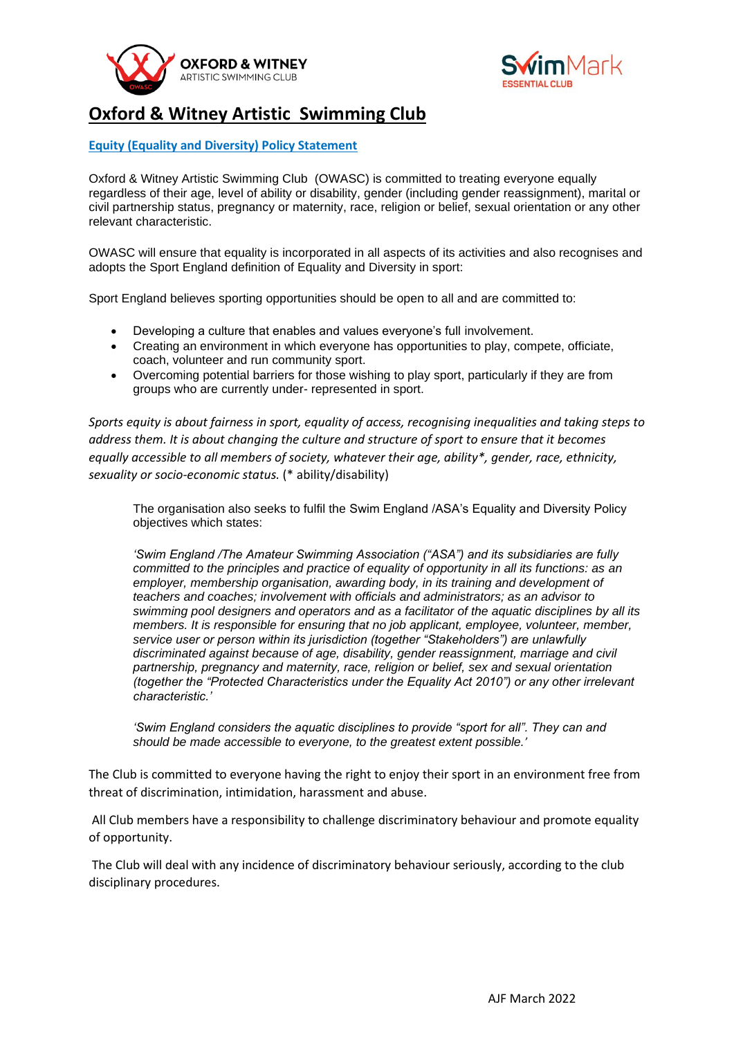



## **Oxford & Witney Artistic Swimming Club**

## **Equity (Equality and Diversity) Policy Statement**

Oxford & Witney Artistic Swimming Club (OWASC) is committed to treating everyone equally regardless of their age, level of ability or disability, gender (including gender reassignment), marital or civil partnership status, pregnancy or maternity, race, religion or belief, sexual orientation or any other relevant characteristic.

OWASC will ensure that equality is incorporated in all aspects of its activities and also recognises and adopts the Sport England definition of Equality and Diversity in sport:

Sport England believes sporting opportunities should be open to all and are committed to:

- Developing a culture that enables and values everyone's full involvement.
- Creating an environment in which everyone has opportunities to play, compete, officiate, coach, volunteer and run community sport.
- Overcoming potential barriers for those wishing to play sport, particularly if they are from groups who are currently under- represented in sport.

*Sports equity is about fairness in sport, equality of access, recognising inequalities and taking steps to address them. It is about changing the culture and structure of sport to ensure that it becomes equally accessible to all members of society, whatever their age, ability\*, gender, race, ethnicity, sexuality or socio-economic status.* (\* ability/disability)

The organisation also seeks to fulfil the Swim England /ASA's Equality and Diversity Policy objectives which states:

*'Swim England /The Amateur Swimming Association ("ASA") and its subsidiaries are fully committed to the principles and practice of equality of opportunity in all its functions: as an employer, membership organisation, awarding body, in its training and development of teachers and coaches; involvement with officials and administrators; as an advisor to swimming pool designers and operators and as a facilitator of the aquatic disciplines by all its members. It is responsible for ensuring that no job applicant, employee, volunteer, member, service user or person within its jurisdiction (together "Stakeholders") are unlawfully discriminated against because of age, disability, gender reassignment, marriage and civil partnership, pregnancy and maternity, race, religion or belief, sex and sexual orientation (together the "Protected Characteristics under the Equality Act 2010") or any other irrelevant characteristic.'* 

*'Swim England considers the aquatic disciplines to provide "sport for all". They can and should be made accessible to everyone, to the greatest extent possible.'* 

The Club is committed to everyone having the right to enjoy their sport in an environment free from threat of discrimination, intimidation, harassment and abuse.

All Club members have a responsibility to challenge discriminatory behaviour and promote equality of opportunity.

The Club will deal with any incidence of discriminatory behaviour seriously, according to the club disciplinary procedures.